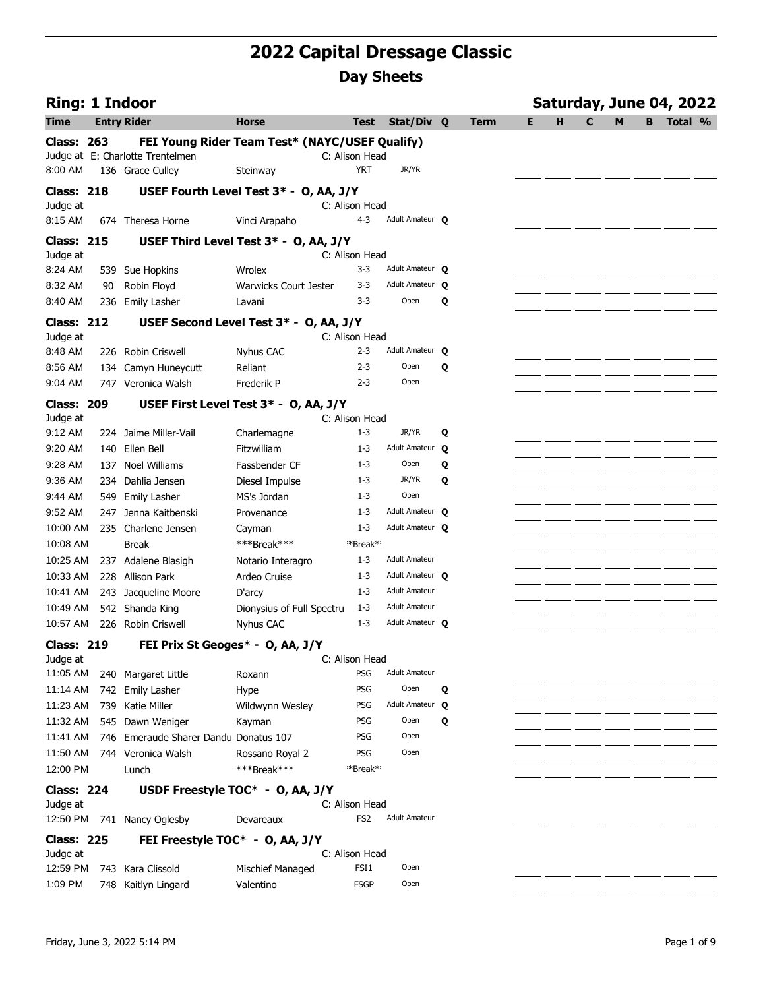| <b>Ring: 1 Indoor</b> |            |                                        |                                                |                      |                      |        |             |    |   |   |   |   | Saturday, June 04, 2022 |  |
|-----------------------|------------|----------------------------------------|------------------------------------------------|----------------------|----------------------|--------|-------------|----|---|---|---|---|-------------------------|--|
| Time                  |            | <b>Entry Rider</b>                     | <b>Horse</b>                                   | <b>Test</b>          | Stat/Div             | Q      | <b>Term</b> | E. | н | C | M | в | Total %                 |  |
| <b>Class: 263</b>     |            |                                        | FEI Young Rider Team Test* (NAYC/USEF Qualify) |                      |                      |        |             |    |   |   |   |   |                         |  |
|                       |            | Judge at E: Charlotte Trentelmen       |                                                | C: Alison Head       |                      |        |             |    |   |   |   |   |                         |  |
| 8:00 AM               |            | 136 Grace Culley                       | Steinway                                       | <b>YRT</b>           | JR/YR                |        |             |    |   |   |   |   |                         |  |
| <b>Class: 218</b>     |            |                                        | USEF Fourth Level Test 3* - O, AA, J/Y         |                      |                      |        |             |    |   |   |   |   |                         |  |
| Judge at              |            |                                        |                                                | C: Alison Head       |                      |        |             |    |   |   |   |   |                         |  |
| 8:15 AM               |            | 674 Theresa Horne                      | Vinci Arapaho                                  | 4-3                  | Adult Amateur O      |        |             |    |   |   |   |   |                         |  |
| <b>Class: 215</b>     |            |                                        | USEF Third Level Test 3* - O, AA, J/Y          |                      |                      |        |             |    |   |   |   |   |                         |  |
| Judge at              |            |                                        |                                                | C: Alison Head       |                      |        |             |    |   |   |   |   |                         |  |
| 8:24 AM               |            | 539 Sue Hopkins                        | Wrolex                                         | $3 - 3$              | Adult Amateur O      |        |             |    |   |   |   |   |                         |  |
| 8:32 AM               | 90         | Robin Floyd                            | <b>Warwicks Court Jester</b>                   | $3 - 3$              | Adult Amateur O      |        |             |    |   |   |   |   |                         |  |
| 8:40 AM               | 236        | <b>Emily Lasher</b>                    | Lavani                                         | 3-3                  | Open                 | Q      |             |    |   |   |   |   |                         |  |
| <b>Class: 212</b>     |            |                                        | USEF Second Level Test 3* - O, AA, J/Y         |                      |                      |        |             |    |   |   |   |   |                         |  |
| Judge at              |            |                                        |                                                | C: Alison Head       |                      |        |             |    |   |   |   |   |                         |  |
| 8:48 AM               |            | 226 Robin Criswell                     | Nyhus CAC                                      | $2 - 3$              | Adult Amateur O      |        |             |    |   |   |   |   |                         |  |
| 8:56 AM               |            | 134 Camyn Huneycutt                    | Reliant                                        | $2 - 3$              | Open                 | Q      |             |    |   |   |   |   |                         |  |
| 9:04 AM               |            | 747 Veronica Walsh                     | <b>Frederik P</b>                              | $2 - 3$              | Open                 |        |             |    |   |   |   |   |                         |  |
| <b>Class: 209</b>     |            |                                        | USEF First Level Test 3* - O, AA, J/Y          |                      |                      |        |             |    |   |   |   |   |                         |  |
| Judge at              |            |                                        |                                                | C: Alison Head       | JR/YR                |        |             |    |   |   |   |   |                         |  |
| 9:12 AM               | 224        | Jaime Miller-Vail                      | Charlemagne                                    | $1 - 3$<br>$1 - 3$   | Adult Amateur O      | Q      |             |    |   |   |   |   |                         |  |
| 9:20 AM<br>9:28 AM    |            | 140 Ellen Bell<br><b>Noel Williams</b> | Fitzwilliam<br>Fassbender CF                   | $1 - 3$              | Open                 |        |             |    |   |   |   |   |                         |  |
| 9:36 AM               | 137<br>234 | Dahlia Jensen                          | Diesel Impulse                                 | $1 - 3$              | JR/YR                | Q<br>Q |             |    |   |   |   |   |                         |  |
| 9:44 AM               | 549        | <b>Emily Lasher</b>                    | MS's Jordan                                    | $1 - 3$              | Open                 |        |             |    |   |   |   |   |                         |  |
| 9:52 AM               | 247        | Jenna Kaitbenski                       | Provenance                                     | $1 - 3$              | Adult Amateur O      |        |             |    |   |   |   |   |                         |  |
| 10:00 AM              |            | 235 Charlene Jensen                    | Cayman                                         | $1 - 3$              | Adult Amateur O      |        |             |    |   |   |   |   |                         |  |
| 10:08 AM              |            | Break                                  | ***Break***                                    | *Break* <sup>*</sup> |                      |        |             |    |   |   |   |   |                         |  |
| 10:25 AM              |            | 237 Adalene Blasigh                    | Notario Interagro                              | $1 - 3$              | <b>Adult Amateur</b> |        |             |    |   |   |   |   |                         |  |
| 10:33 AM              | 228        | Allison Park                           | Ardeo Cruise                                   | $1 - 3$              | Adult Amateur O      |        |             |    |   |   |   |   |                         |  |
| 10:41 AM              |            | 243 Jacqueline Moore                   | D'arcy                                         | $1 - 3$              | <b>Adult Amateur</b> |        |             |    |   |   |   |   |                         |  |
| 10:49 AM              |            | 542 Shanda King                        | Dionysius of Full Spectru                      | $1 - 3$              | <b>Adult Amateur</b> |        |             |    |   |   |   |   |                         |  |
| 10:57 AM              |            | 226 Robin Criswell                     | Nyhus CAC                                      | $1 - 3$              | Adult Amateur O      |        |             |    |   |   |   |   |                         |  |
| <b>Class: 219</b>     |            | FEI Prix St Geoges* - O, AA, J/Y       |                                                |                      |                      |        |             |    |   |   |   |   |                         |  |
| Judge at              |            |                                        |                                                | C: Alison Head       |                      |        |             |    |   |   |   |   |                         |  |
| 11:05 AM              |            | 240 Margaret Little                    | Roxann                                         | PSG                  | <b>Adult Amateur</b> |        |             |    |   |   |   |   |                         |  |
| 11:14 AM              | 742        | <b>Emily Lasher</b>                    | Hype                                           | PSG                  | Open                 | Q      |             |    |   |   |   |   |                         |  |
| 11:23 AM              | 739        | Katie Miller                           | Wildwynn Wesley                                | <b>PSG</b>           | Adult Amateur O      |        |             |    |   |   |   |   |                         |  |
| 11:32 AM              |            | 545 Dawn Weniger                       | Kayman                                         | PSG                  | Open                 | Q      |             |    |   |   |   |   |                         |  |
| 11:41 AM              |            | 746 Emeraude Sharer Dandu Donatus 107  |                                                | <b>PSG</b>           | Open                 |        |             |    |   |   |   |   |                         |  |
| 11:50 AM              |            | 744 Veronica Walsh                     | Rossano Royal 2                                | PSG                  | Open                 |        |             |    |   |   |   |   |                         |  |
| 12:00 PM              |            | Lunch                                  | ***Break***                                    | **Break**            |                      |        |             |    |   |   |   |   |                         |  |
| <b>Class: 224</b>     |            |                                        | USDF Freestyle TOC* - O, AA, J/Y               |                      |                      |        |             |    |   |   |   |   |                         |  |
| Judge at              |            |                                        |                                                | C: Alison Head       |                      |        |             |    |   |   |   |   |                         |  |
|                       |            | 12:50 PM 741 Nancy Oglesby             | Devareaux                                      | FS <sub>2</sub>      | <b>Adult Amateur</b> |        |             |    |   |   |   |   |                         |  |
| <b>Class: 225</b>     |            | FEI Freestyle TOC* - O, AA, J/Y        |                                                |                      |                      |        |             |    |   |   |   |   |                         |  |
| Judge at              |            |                                        |                                                | C: Alison Head       |                      |        |             |    |   |   |   |   |                         |  |
| 12:59 PM              |            | 743 Kara Clissold                      | Mischief Managed                               | FSI1                 | Open                 |        |             |    |   |   |   |   |                         |  |
| 1:09 PM               |            | 748 Kaitlyn Lingard                    | Valentino                                      | <b>FSGP</b>          | Open                 |        |             |    |   |   |   |   |                         |  |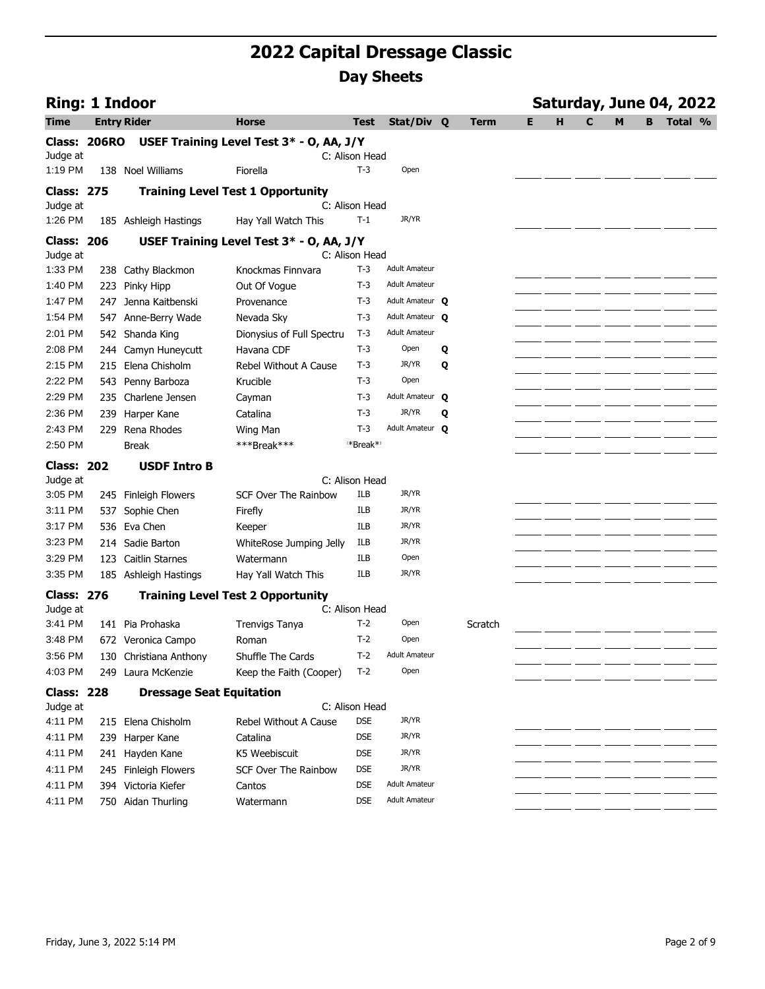| <b>Ring: 1 Indoor</b> |     |                                 |                                          |                |                        |   |         |    |   |   |   | Saturday, June 04, 2022 |  |
|-----------------------|-----|---------------------------------|------------------------------------------|----------------|------------------------|---|---------|----|---|---|---|-------------------------|--|
| Time                  |     | <b>Entry Rider</b>              | <b>Horse</b>                             | Test           | Stat/Div Q             |   | Term    | E. | н | C | M | <b>B</b> Total %        |  |
| Class: 206RO          |     |                                 | USEF Training Level Test 3* - O, AA, J/Y |                |                        |   |         |    |   |   |   |                         |  |
| Judge at              |     |                                 |                                          | C: Alison Head |                        |   |         |    |   |   |   |                         |  |
| 1:19 PM               |     | 138 Noel Williams               | Fiorella                                 | $T-3$          | Open                   |   |         |    |   |   |   |                         |  |
| <b>Class: 275</b>     |     |                                 | <b>Training Level Test 1 Opportunity</b> |                |                        |   |         |    |   |   |   |                         |  |
| Judge at              |     |                                 |                                          | C: Alison Head |                        |   |         |    |   |   |   |                         |  |
| 1:26 PM               |     | 185 Ashleigh Hastings           | Hay Yall Watch This                      | $T-1$          | JR/YR                  |   |         |    |   |   |   |                         |  |
| <b>Class: 206</b>     |     |                                 | USEF Training Level Test 3* - O, AA, J/Y |                |                        |   |         |    |   |   |   |                         |  |
| Judge at              |     |                                 |                                          | C: Alison Head |                        |   |         |    |   |   |   |                         |  |
| 1:33 PM               |     | 238 Cathy Blackmon              | Knockmas Finnvara                        | $T-3$          | <b>Adult Amateur</b>   |   |         |    |   |   |   |                         |  |
| 1:40 PM               |     | 223 Pinky Hipp                  | Out Of Vogue                             | T-3            | <b>Adult Amateur</b>   |   |         |    |   |   |   |                         |  |
| 1:47 PM               | 247 | Jenna Kaitbenski                | Provenance                               | T-3            | Adult Amateur O        |   |         |    |   |   |   |                         |  |
| 1:54 PM               |     | 547 Anne-Berry Wade             | Nevada Sky                               | $T-3$          | Adult Amateur <b>Q</b> |   |         |    |   |   |   |                         |  |
| 2:01 PM               |     | 542 Shanda King                 | Dionysius of Full Spectru                | $T-3$          | <b>Adult Amateur</b>   |   |         |    |   |   |   |                         |  |
| 2:08 PM               | 244 | Camyn Huneycutt                 | Havana CDF                               | $T-3$          | Open                   | Q |         |    |   |   |   |                         |  |
| 2:15 PM               | 215 | Elena Chisholm                  | Rebel Without A Cause                    | T-3            | JR/YR                  | Q |         |    |   |   |   |                         |  |
| 2:22 PM               | 543 | Penny Barboza                   | Krucible                                 | $T-3$          | Open                   |   |         |    |   |   |   |                         |  |
| 2:29 PM               |     | 235 Charlene Jensen             | Cayman                                   | T-3            | Adult Amateur Q        |   |         |    |   |   |   |                         |  |
| 2:36 PM               |     | 239 Harper Kane                 | Catalina                                 | $T-3$          | JR/YR                  | Q |         |    |   |   |   |                         |  |
| 2:43 PM               |     | 229 Rena Rhodes                 | Wing Man                                 | $T-3$          | Adult Amateur O        |   |         |    |   |   |   |                         |  |
| 2:50 PM               |     | <b>Break</b>                    | ***Break***                              | **Break**      |                        |   |         |    |   |   |   |                         |  |
| <b>Class: 202</b>     |     | <b>USDF Intro B</b>             |                                          |                |                        |   |         |    |   |   |   |                         |  |
| Judge at              |     |                                 |                                          | C: Alison Head |                        |   |         |    |   |   |   |                         |  |
| 3:05 PM               |     | 245 Finleigh Flowers            | <b>SCF Over The Rainbow</b>              | <b>ILB</b>     | JR/YR                  |   |         |    |   |   |   |                         |  |
| 3:11 PM               | 537 | Sophie Chen                     | Firefly                                  | ILB            | JR/YR                  |   |         |    |   |   |   |                         |  |
| 3:17 PM               |     | 536 Eva Chen                    | Keeper                                   | <b>ILB</b>     | JR/YR                  |   |         |    |   |   |   |                         |  |
| 3:23 PM               |     | 214 Sadie Barton                | WhiteRose Jumping Jelly                  | ILB            | JR/YR                  |   |         |    |   |   |   |                         |  |
| 3:29 PM               |     | 123 Caitlin Starnes             | Watermann                                | <b>ILB</b>     | Open                   |   |         |    |   |   |   |                         |  |
| 3:35 PM               |     | 185 Ashleigh Hastings           | Hay Yall Watch This                      | ILB            | JR/YR                  |   |         |    |   |   |   |                         |  |
| <b>Class: 276</b>     |     |                                 | <b>Training Level Test 2 Opportunity</b> |                |                        |   |         |    |   |   |   |                         |  |
| Judge at              |     |                                 |                                          | C: Alison Head |                        |   |         |    |   |   |   |                         |  |
| 3:41 PM               |     | 141 Pia Prohaska                | Trenvigs Tanya                           | $T-2$          | Open                   |   | Scratch |    |   |   |   |                         |  |
| 3:48 PM               |     | 672 Veronica Campo              | Roman                                    | $T-2$          | Open                   |   |         |    |   |   |   |                         |  |
| 3:56 PM               |     | 130 Christiana Anthony          | Shuffle The Cards                        | $T-2$          | <b>Adult Amateur</b>   |   |         |    |   |   |   |                         |  |
| 4:03 PM               |     | 249 Laura McKenzie              | Keep the Faith (Cooper)                  | $T-2$          | Open                   |   |         |    |   |   |   |                         |  |
| <b>Class: 228</b>     |     | <b>Dressage Seat Equitation</b> |                                          |                |                        |   |         |    |   |   |   |                         |  |
| Judge at              |     |                                 |                                          | C: Alison Head |                        |   |         |    |   |   |   |                         |  |
| 4:11 PM               |     | 215 Elena Chisholm              | Rebel Without A Cause                    | <b>DSE</b>     | JR/YR                  |   |         |    |   |   |   |                         |  |
| 4:11 PM               |     | 239 Harper Kane                 | Catalina                                 | <b>DSE</b>     | JR/YR                  |   |         |    |   |   |   |                         |  |
| 4:11 PM               |     | 241 Hayden Kane                 | K5 Weebiscuit                            | <b>DSE</b>     | JR/YR                  |   |         |    |   |   |   |                         |  |
| 4:11 PM               |     | 245 Finleigh Flowers            | SCF Over The Rainbow                     | DSE            | JR/YR                  |   |         |    |   |   |   |                         |  |
| 4:11 PM               |     | 394 Victoria Kiefer             | Cantos                                   | DSE            | <b>Adult Amateur</b>   |   |         |    |   |   |   |                         |  |
| 4:11 PM               |     | 750 Aidan Thurling              | Watermann                                | <b>DSE</b>     | <b>Adult Amateur</b>   |   |         |    |   |   |   |                         |  |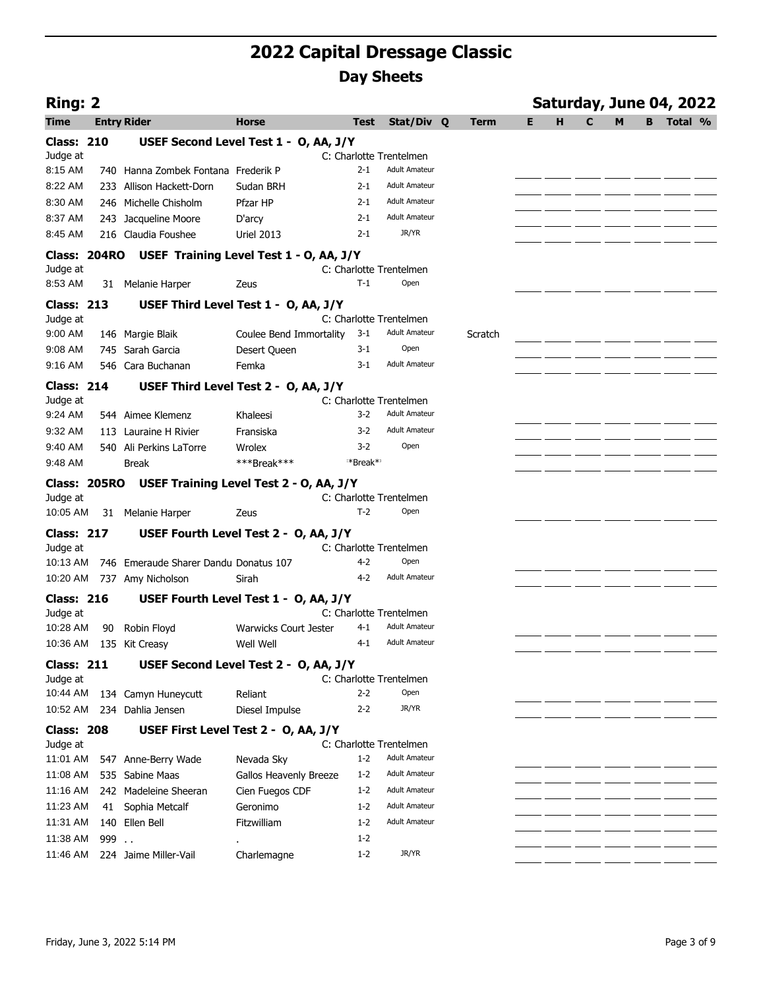| Ring: 2           |         |                                       |                                         |             |                         |             |   |   |              |   |   | Saturday, June 04, 2022 |  |
|-------------------|---------|---------------------------------------|-----------------------------------------|-------------|-------------------------|-------------|---|---|--------------|---|---|-------------------------|--|
| <b>Time</b>       |         | <b>Entry Rider</b>                    | <b>Horse</b>                            | <b>Test</b> | Stat/Div Q              | <b>Term</b> | Е | н | $\mathbf{C}$ | M | B | Total %                 |  |
| <b>Class: 210</b> |         |                                       | USEF Second Level Test 1 - O, AA, J/Y   |             |                         |             |   |   |              |   |   |                         |  |
| Judge at          |         |                                       |                                         |             | C: Charlotte Trentelmen |             |   |   |              |   |   |                         |  |
| 8:15 AM           |         | 740 Hanna Zombek Fontana Frederik P   |                                         | $2 - 1$     | <b>Adult Amateur</b>    |             |   |   |              |   |   |                         |  |
| 8:22 AM           |         | 233 Allison Hackett-Dorn              | Sudan BRH                               | $2 - 1$     | <b>Adult Amateur</b>    |             |   |   |              |   |   |                         |  |
| 8:30 AM           |         | 246 Michelle Chisholm                 | Pfzar HP                                | $2 - 1$     | <b>Adult Amateur</b>    |             |   |   |              |   |   |                         |  |
| 8:37 AM           |         | 243 Jacqueline Moore                  | D'arcy                                  | $2 - 1$     | <b>Adult Amateur</b>    |             |   |   |              |   |   |                         |  |
| 8:45 AM           |         | 216 Claudia Foushee                   | <b>Uriel 2013</b>                       | $2 - 1$     | JR/YR                   |             |   |   |              |   |   |                         |  |
| Class: 204RO      |         |                                       | USEF Training Level Test 1 - O, AA, J/Y |             |                         |             |   |   |              |   |   |                         |  |
| Judge at          |         |                                       |                                         |             | C: Charlotte Trentelmen |             |   |   |              |   |   |                         |  |
| 8:53 AM           |         | 31 Melanie Harper                     | Zeus                                    | $T-1$       | Open                    |             |   |   |              |   |   |                         |  |
| <b>Class: 213</b> |         |                                       | USEF Third Level Test 1 - O, AA, J/Y    |             |                         |             |   |   |              |   |   |                         |  |
| Judge at          |         |                                       |                                         |             | C: Charlotte Trentelmen |             |   |   |              |   |   |                         |  |
| 9:00 AM           |         | 146 Margie Blaik                      | Coulee Bend Immortality                 | $3 - 1$     | <b>Adult Amateur</b>    | Scratch     |   |   |              |   |   |                         |  |
| 9:08 AM           |         | 745 Sarah Garcia                      | Desert Queen                            | 3-1         | Open                    |             |   |   |              |   |   |                         |  |
| 9:16 AM           |         | 546 Cara Buchanan                     | Femka                                   | $3-1$       | <b>Adult Amateur</b>    |             |   |   |              |   |   |                         |  |
| <b>Class: 214</b> |         |                                       | USEF Third Level Test 2 - O, AA, J/Y    |             |                         |             |   |   |              |   |   |                         |  |
| Judge at          |         |                                       |                                         |             | C: Charlotte Trentelmen |             |   |   |              |   |   |                         |  |
| 9:24 AM           |         | 544 Aimee Klemenz                     | Khaleesi                                | $3 - 2$     | <b>Adult Amateur</b>    |             |   |   |              |   |   |                         |  |
| 9:32 AM           |         | 113 Lauraine H Rivier                 | Fransiska                               | $3 - 2$     | <b>Adult Amateur</b>    |             |   |   |              |   |   |                         |  |
| 9:40 AM           |         | 540 Ali Perkins LaTorre               | Wrolex                                  | $3-2$       | Open                    |             |   |   |              |   |   |                         |  |
| 9:48 AM           |         | <b>Break</b>                          | ***Break***                             | **Break**   |                         |             |   |   |              |   |   |                         |  |
| Class: 205RO      |         |                                       | USEF Training Level Test 2 - O, AA, J/Y |             |                         |             |   |   |              |   |   |                         |  |
| Judge at          |         |                                       |                                         |             | C: Charlotte Trentelmen |             |   |   |              |   |   |                         |  |
| 10:05 AM          |         | 31 Melanie Harper                     | Zeus                                    | $T-2$       | Open                    |             |   |   |              |   |   |                         |  |
| <b>Class: 217</b> |         |                                       | USEF Fourth Level Test 2 - O, AA, J/Y   |             |                         |             |   |   |              |   |   |                         |  |
| Judge at          |         |                                       |                                         |             | C: Charlotte Trentelmen |             |   |   |              |   |   |                         |  |
| 10:13 AM          |         | 746 Emeraude Sharer Dandu Donatus 107 |                                         | $4 - 2$     | Open                    |             |   |   |              |   |   |                         |  |
| 10:20 AM          |         | 737 Amy Nicholson                     | Sirah                                   | $4 - 2$     | <b>Adult Amateur</b>    |             |   |   |              |   |   |                         |  |
| <b>Class: 216</b> |         |                                       | USEF Fourth Level Test 1 - O, AA, J/Y   |             |                         |             |   |   |              |   |   |                         |  |
| Judge at          |         |                                       |                                         |             | C: Charlotte Trentelmen |             |   |   |              |   |   |                         |  |
| 10:28 AM          | 90      | Robin Floyd                           | <b>Warwicks Court Jester</b>            | $4 - 1$     | <b>Adult Amateur</b>    |             |   |   |              |   |   |                         |  |
| 10:36 AM          |         | 135 Kit Creasy                        | Well Well                               | 4-1         | <b>Adult Amateur</b>    |             |   |   |              |   |   |                         |  |
| <b>Class: 211</b> |         |                                       | USEF Second Level Test 2 - O, AA, J/Y   |             |                         |             |   |   |              |   |   |                         |  |
| Judge at          |         |                                       |                                         |             | C: Charlotte Trentelmen |             |   |   |              |   |   |                         |  |
| 10:44 AM          |         | 134 Camyn Huneycutt                   | Reliant                                 | $2 - 2$     | Open                    |             |   |   |              |   |   |                         |  |
| 10:52 AM          |         | 234 Dahlia Jensen                     | Diesel Impulse                          | $2 - 2$     | JR/YR                   |             |   |   |              |   |   |                         |  |
| <b>Class: 208</b> |         |                                       | USEF First Level Test 2 - O, AA, J/Y    |             |                         |             |   |   |              |   |   |                         |  |
| Judge at          |         |                                       |                                         |             | C: Charlotte Trentelmen |             |   |   |              |   |   |                         |  |
| 11:01 AM          |         | 547 Anne-Berry Wade                   | Nevada Sky                              | $1 - 2$     | <b>Adult Amateur</b>    |             |   |   |              |   |   |                         |  |
| 11:08 AM          |         | 535 Sabine Maas                       | Gallos Heavenly Breeze                  | $1 - 2$     | <b>Adult Amateur</b>    |             |   |   |              |   |   |                         |  |
| 11:16 AM          |         | 242 Madeleine Sheeran                 | Cien Fuegos CDF                         | $1 - 2$     | <b>Adult Amateur</b>    |             |   |   |              |   |   |                         |  |
| 11:23 AM          | 41      | Sophia Metcalf                        | Geronimo                                | $1 - 2$     | <b>Adult Amateur</b>    |             |   |   |              |   |   |                         |  |
| 11:31 AM          |         | 140 Ellen Bell                        | Fitzwilliam                             | $1 - 2$     | <b>Adult Amateur</b>    |             |   |   |              |   |   |                         |  |
| 11:38 AM          | $999$ . |                                       |                                         | $1 - 2$     |                         |             |   |   |              |   |   |                         |  |
| 11:46 AM          |         | 224 Jaime Miller-Vail                 | Charlemagne                             | $1 - 2$     | JR/YR                   |             |   |   |              |   |   |                         |  |
|                   |         |                                       |                                         |             |                         |             |   |   |              |   |   |                         |  |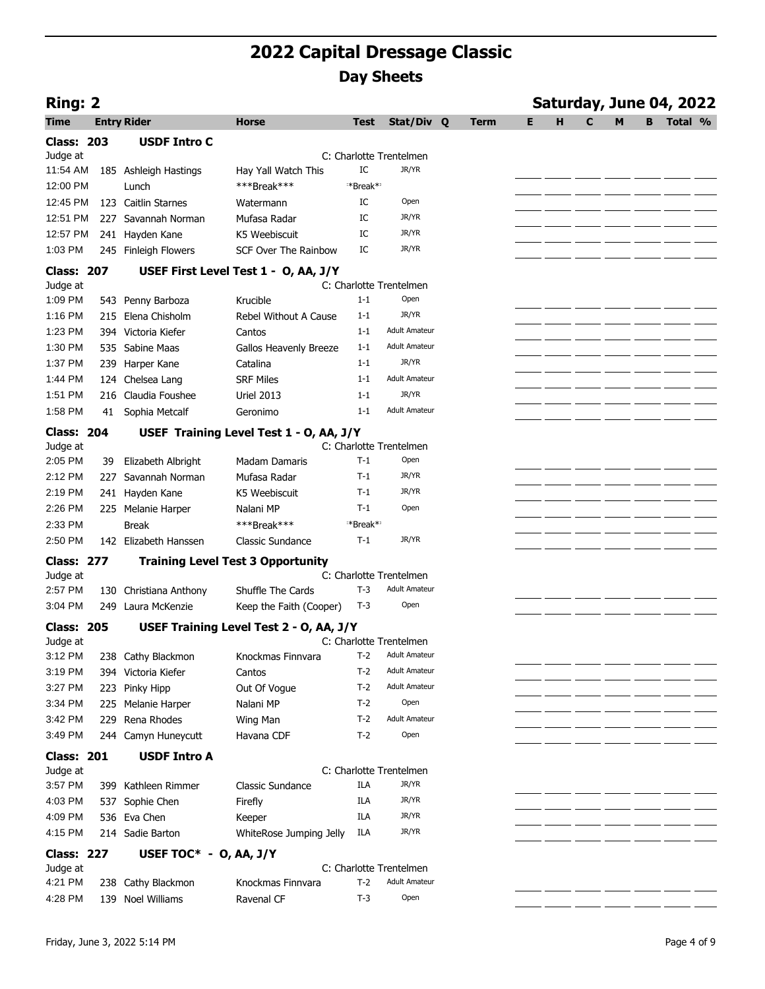| <b>Ring: 2</b>                |    |                          |                                          |                      |                                                 |      |   |   |             |   |   | Saturday, June 04, 2022 |  |
|-------------------------------|----|--------------------------|------------------------------------------|----------------------|-------------------------------------------------|------|---|---|-------------|---|---|-------------------------|--|
| Time                          |    | <b>Entry Rider</b>       | <b>Horse</b>                             | Test                 | Stat/Div Q                                      | Term | E | н | $\mathbf C$ | M | в | Total %                 |  |
| <b>Class: 203</b>             |    | <b>USDF Intro C</b>      |                                          |                      |                                                 |      |   |   |             |   |   |                         |  |
| Judge at                      |    |                          |                                          |                      | C: Charlotte Trentelmen                         |      |   |   |             |   |   |                         |  |
| 11:54 AM                      |    | 185 Ashleigh Hastings    | Hay Yall Watch This                      | IC                   | JR/YR                                           |      |   |   |             |   |   |                         |  |
| 12:00 PM                      |    | Lunch                    | ***Break***                              | *Break* <sup>*</sup> |                                                 |      |   |   |             |   |   |                         |  |
| 12:45 PM                      |    | 123 Caitlin Starnes      | Watermann                                | IC                   | Open                                            |      |   |   |             |   |   |                         |  |
| 12:51 PM                      |    | 227 Savannah Norman      | Mufasa Radar                             | IC                   | JR/YR                                           |      |   |   |             |   |   |                         |  |
| 12:57 PM                      |    | 241 Hayden Kane          | K5 Weebiscuit                            | IC                   | JR/YR                                           |      |   |   |             |   |   |                         |  |
| 1:03 PM                       |    | 245 Finleigh Flowers     | SCF Over The Rainbow                     | IC                   | JR/YR                                           |      |   |   |             |   |   |                         |  |
| <b>Class: 207</b>             |    |                          | USEF First Level Test 1 - O, AA, J/Y     |                      |                                                 |      |   |   |             |   |   |                         |  |
| Judge at                      |    |                          |                                          |                      | C: Charlotte Trentelmen                         |      |   |   |             |   |   |                         |  |
| 1:09 PM                       |    | 543 Penny Barboza        | Krucible                                 | $1 - 1$              | Open                                            |      |   |   |             |   |   |                         |  |
| 1:16 PM                       |    | 215 Elena Chisholm       | Rebel Without A Cause                    | $1 - 1$              | JR/YR                                           |      |   |   |             |   |   |                         |  |
| 1:23 PM                       |    | 394 Victoria Kiefer      | Cantos                                   | $1 - 1$              | <b>Adult Amateur</b>                            |      |   |   |             |   |   |                         |  |
| 1:30 PM                       |    | 535 Sabine Maas          | Gallos Heavenly Breeze                   | $1 - 1$              | <b>Adult Amateur</b>                            |      |   |   |             |   |   |                         |  |
| 1:37 PM                       |    | 239 Harper Kane          | Catalina                                 | $1 - 1$              | JR/YR                                           |      |   |   |             |   |   |                         |  |
| 1:44 PM                       |    | 124 Chelsea Lang         | <b>SRF Miles</b>                         | $1 - 1$              | <b>Adult Amateur</b>                            |      |   |   |             |   |   |                         |  |
| 1:51 PM                       |    | 216 Claudia Foushee      | <b>Uriel 2013</b>                        | $1 - 1$              | JR/YR                                           |      |   |   |             |   |   |                         |  |
| 1:58 PM                       | 41 | Sophia Metcalf           | Geronimo                                 | $1 - 1$              | <b>Adult Amateur</b>                            |      |   |   |             |   |   |                         |  |
| <b>Class: 204</b>             |    |                          | USEF Training Level Test 1 - O, AA, J/Y  |                      |                                                 |      |   |   |             |   |   |                         |  |
| Judge at                      |    |                          |                                          |                      | C: Charlotte Trentelmen                         |      |   |   |             |   |   |                         |  |
| 2:05 PM                       | 39 | Elizabeth Albright       | <b>Madam Damaris</b>                     | $T-1$                | Open                                            |      |   |   |             |   |   |                         |  |
| 2:12 PM                       |    | 227 Savannah Norman      | Mufasa Radar                             | $T-1$                | JR/YR                                           |      |   |   |             |   |   |                         |  |
| 2:19 PM                       |    | 241 Hayden Kane          | K5 Weebiscuit                            | $T-1$                | JR/YR                                           |      |   |   |             |   |   |                         |  |
| 2:26 PM                       |    | 225 Melanie Harper       | Nalani MP                                | $T-1$                | Open                                            |      |   |   |             |   |   |                         |  |
| 2:33 PM                       |    | <b>Break</b>             | ***Break***                              | **Break**            |                                                 |      |   |   |             |   |   |                         |  |
| 2:50 PM                       |    | 142 Elizabeth Hanssen    | Classic Sundance                         | $T-1$                | JR/YR                                           |      |   |   |             |   |   |                         |  |
| <b>Class: 277</b>             |    |                          | <b>Training Level Test 3 Opportunity</b> |                      |                                                 |      |   |   |             |   |   |                         |  |
| Judge at                      |    |                          |                                          |                      | C: Charlotte Trentelmen                         |      |   |   |             |   |   |                         |  |
| 2:57 PM                       |    | 130 Christiana Anthony   | <b>Shuffle The Cards</b>                 | $T-3$                | <b>Adult Amateur</b>                            |      |   |   |             |   |   |                         |  |
| 3:04 PM                       |    | 249 Laura McKenzie       | Keep the Faith (Cooper)                  | $T-3$                | Open                                            |      |   |   |             |   |   |                         |  |
| <b>Class: 205</b>             |    |                          | USEF Training Level Test 2 - O, AA, J/Y  |                      |                                                 |      |   |   |             |   |   |                         |  |
| Judge at<br>3:12 PM           |    | 238 Cathy Blackmon       | Knockmas Finnvara                        | $T-2$                | C: Charlotte Trentelmen<br><b>Adult Amateur</b> |      |   |   |             |   |   |                         |  |
| 3:19 PM                       |    | 394 Victoria Kiefer      | Cantos                                   | $T-2$                | <b>Adult Amateur</b>                            |      |   |   |             |   |   |                         |  |
| 3:27 PM                       |    | 223 Pinky Hipp           | Out Of Vogue                             | $T-2$                | <b>Adult Amateur</b>                            |      |   |   |             |   |   |                         |  |
| 3:34 PM                       |    | 225 Melanie Harper       | Nalani MP                                | $T-2$                | Open                                            |      |   |   |             |   |   |                         |  |
| 3:42 PM                       |    | 229 Rena Rhodes          | Wing Man                                 | $T-2$                | <b>Adult Amateur</b>                            |      |   |   |             |   |   |                         |  |
| 3:49 PM                       |    | 244 Camyn Huneycutt      | Havana CDF                               | $T-2$                | Open                                            |      |   |   |             |   |   |                         |  |
|                               |    |                          |                                          |                      |                                                 |      |   |   |             |   |   |                         |  |
| <b>Class: 201</b><br>Judge at |    | <b>USDF Intro A</b>      |                                          |                      | C: Charlotte Trentelmen                         |      |   |   |             |   |   |                         |  |
| 3:57 PM                       |    | 399 Kathleen Rimmer      | <b>Classic Sundance</b>                  | ILA                  | JR/YR                                           |      |   |   |             |   |   |                         |  |
| 4:03 PM                       |    | 537 Sophie Chen          | Firefly                                  | ILA                  | JR/YR                                           |      |   |   |             |   |   |                         |  |
| 4:09 PM                       |    | 536 Eva Chen             | Keeper                                   | ILA                  | JR/YR                                           |      |   |   |             |   |   |                         |  |
| 4:15 PM                       |    | 214 Sadie Barton         | WhiteRose Jumping Jelly                  | ILA                  | JR/YR                                           |      |   |   |             |   |   |                         |  |
| <b>Class: 227</b>             |    |                          |                                          |                      |                                                 |      |   |   |             |   |   |                         |  |
| Judge at                      |    | USEF TOC* $-$ O, AA, J/Y |                                          |                      | C: Charlotte Trentelmen                         |      |   |   |             |   |   |                         |  |
| 4:21 PM                       |    | 238 Cathy Blackmon       | Knockmas Finnvara                        | $T-2$                | <b>Adult Amateur</b>                            |      |   |   |             |   |   |                         |  |
| 4:28 PM                       |    | 139 Noel Williams        | Ravenal CF                               | T-3                  | Open                                            |      |   |   |             |   |   |                         |  |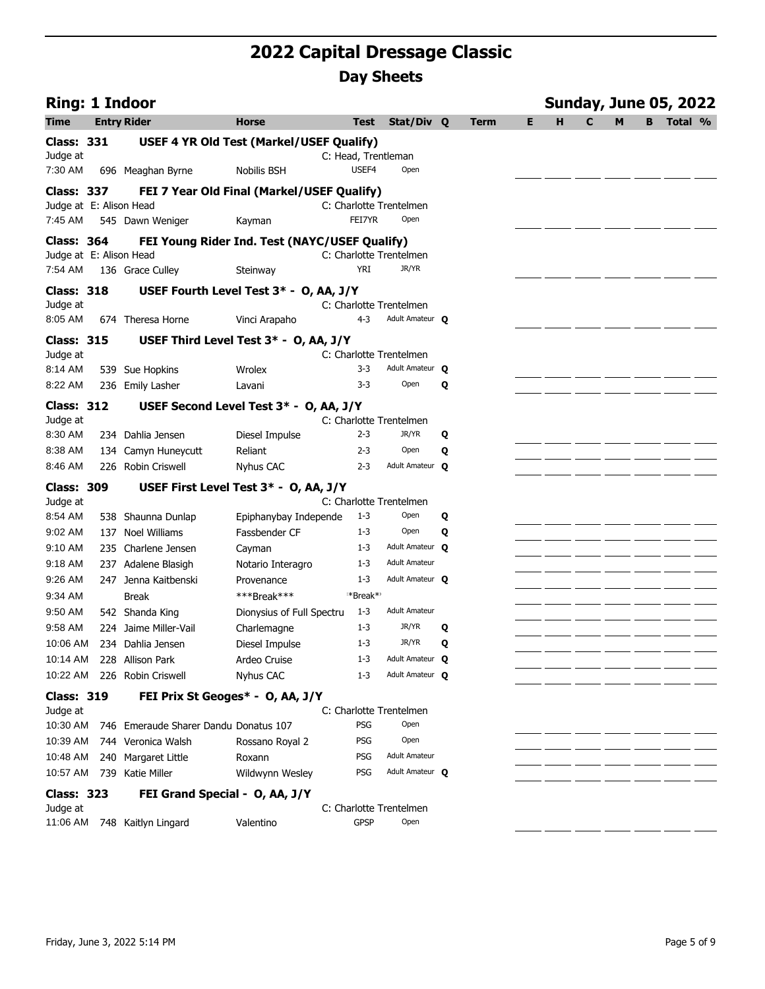| <b>Ring: 1 Indoor</b>   |     |                                       |                                               |                              |                         |   |      |   |   |              |   |   | Sunday, June 05, 2022 |  |
|-------------------------|-----|---------------------------------------|-----------------------------------------------|------------------------------|-------------------------|---|------|---|---|--------------|---|---|-----------------------|--|
| Time                    |     | <b>Entry Rider</b>                    | <b>Horse</b>                                  | <b>Test</b>                  | Stat/Div Q              |   | Term | Е | н | $\mathbf{C}$ | M | в | Total %               |  |
| <b>Class: 331</b>       |     |                                       | USEF 4 YR Old Test (Markel/USEF Qualify)      |                              |                         |   |      |   |   |              |   |   |                       |  |
| Judge at<br>7:30 AM     |     | 696 Meaghan Byrne                     | <b>Nobilis BSH</b>                            | C: Head, Trentleman<br>USEF4 | Open                    |   |      |   |   |              |   |   |                       |  |
| Class: 337              |     |                                       | FEI 7 Year Old Final (Markel/USEF Qualify)    |                              |                         |   |      |   |   |              |   |   |                       |  |
| Judge at E: Alison Head |     |                                       |                                               |                              | C: Charlotte Trentelmen |   |      |   |   |              |   |   |                       |  |
| 7:45 AM                 |     | 545 Dawn Weniger                      | Kayman                                        | FEI7YR                       | Open                    |   |      |   |   |              |   |   |                       |  |
| <b>Class: 364</b>       |     |                                       | FEI Young Rider Ind. Test (NAYC/USEF Qualify) |                              |                         |   |      |   |   |              |   |   |                       |  |
| Judge at E: Alison Head |     |                                       |                                               |                              | C: Charlotte Trentelmen |   |      |   |   |              |   |   |                       |  |
| 7:54 AM                 |     | 136 Grace Culley                      | Steinway                                      | <b>YRI</b>                   | JR/YR                   |   |      |   |   |              |   |   |                       |  |
| <b>Class: 318</b>       |     |                                       | USEF Fourth Level Test 3* - O, AA, J/Y        |                              |                         |   |      |   |   |              |   |   |                       |  |
| Judge at                |     |                                       |                                               |                              | C: Charlotte Trentelmen |   |      |   |   |              |   |   |                       |  |
| 8:05 AM                 |     | 674 Theresa Horne                     | Vinci Arapaho                                 | $4 - 3$                      | Adult Amateur <b>Q</b>  |   |      |   |   |              |   |   |                       |  |
| <b>Class: 315</b>       |     |                                       | USEF Third Level Test 3* - O, AA, J/Y         |                              |                         |   |      |   |   |              |   |   |                       |  |
| Judge at                |     |                                       |                                               |                              | C: Charlotte Trentelmen |   |      |   |   |              |   |   |                       |  |
| 8:14 AM                 |     | 539 Sue Hopkins                       | Wrolex                                        | $3 - 3$                      | Adult Amateur Q         |   |      |   |   |              |   |   |                       |  |
| 8:22 AM                 |     | 236 Emily Lasher                      | Lavani                                        | 3-3                          | Open                    | Q |      |   |   |              |   |   |                       |  |
| <b>Class: 312</b>       |     |                                       | USEF Second Level Test 3* - O, AA, J/Y        |                              |                         |   |      |   |   |              |   |   |                       |  |
| Judge at                |     |                                       |                                               |                              | C: Charlotte Trentelmen |   |      |   |   |              |   |   |                       |  |
| 8:30 AM                 |     | 234 Dahlia Jensen                     | Diesel Impulse                                | $2 - 3$                      | JR/YR                   | Q |      |   |   |              |   |   |                       |  |
| 8:38 AM                 |     | 134 Camyn Huneycutt                   | Reliant                                       | $2 - 3$                      | Open                    | Q |      |   |   |              |   |   |                       |  |
| 8:46 AM                 |     | 226 Robin Criswell                    | Nyhus CAC                                     | $2 - 3$                      | Adult Amateur O         |   |      |   |   |              |   |   |                       |  |
| <b>Class: 309</b>       |     |                                       | USEF First Level Test 3* - O, AA, J/Y         |                              |                         |   |      |   |   |              |   |   |                       |  |
| Judge at                |     |                                       |                                               |                              | C: Charlotte Trentelmen |   |      |   |   |              |   |   |                       |  |
| 8:54 AM                 |     | 538 Shaunna Dunlap                    | Epiphanybay Independe                         | $1 - 3$                      | Open                    | Q |      |   |   |              |   |   |                       |  |
| 9:02 AM                 | 137 | Noel Williams                         | Fassbender CF                                 | $1 - 3$                      | Open                    | Q |      |   |   |              |   |   |                       |  |
| 9:10 AM                 |     | 235 Charlene Jensen                   | Cayman                                        | $1 - 3$                      | Adult Amateur O         |   |      |   |   |              |   |   |                       |  |
| 9:18 AM                 |     | 237 Adalene Blasigh                   | Notario Interagro                             | $1 - 3$                      | <b>Adult Amateur</b>    |   |      |   |   |              |   |   |                       |  |
| 9:26 AM                 |     | 247 Jenna Kaitbenski                  | Provenance                                    | $1 - 3$                      | Adult Amateur Q         |   |      |   |   |              |   |   |                       |  |
| 9:34 AM                 |     | <b>Break</b>                          | ***Break***                                   | *Break*'                     |                         |   |      |   |   |              |   |   |                       |  |
| 9:50 AM                 |     | 542 Shanda King                       | Dionysius of Full Spectru                     | $1 - 3$                      | <b>Adult Amateur</b>    |   |      |   |   |              |   |   |                       |  |
| 9:58 AM                 |     | 224 Jaime Miller-Vail                 | Charlemagne                                   | $1 - 3$                      | JR/YR                   | Q |      |   |   |              |   |   |                       |  |
| 10:06 AM                |     | 234 Dahlia Jensen                     | Diesel Impulse                                | $1 - 3$                      | JR/YR                   | Q |      |   |   |              |   |   |                       |  |
| 10:14 AM                |     | 228 Allison Park                      | Ardeo Cruise                                  | $1 - 3$                      | Adult Amateur O         |   |      |   |   |              |   |   |                       |  |
|                         |     | 10:22 AM 226 Robin Criswell           | Nyhus CAC                                     | $1 - 3$                      | Adult Amateur O         |   |      |   |   |              |   |   |                       |  |
| <b>Class: 319</b>       |     |                                       | FEI Prix St Geoges* - O, AA, J/Y              |                              |                         |   |      |   |   |              |   |   |                       |  |
| Judge at                |     |                                       |                                               |                              | C: Charlotte Trentelmen |   |      |   |   |              |   |   |                       |  |
| 10:30 AM                |     | 746 Emeraude Sharer Dandu Donatus 107 |                                               | <b>PSG</b>                   | Open                    |   |      |   |   |              |   |   |                       |  |
| 10:39 AM                |     | 744 Veronica Walsh                    | Rossano Royal 2                               | PSG                          | Open                    |   |      |   |   |              |   |   |                       |  |
| 10:48 AM                |     | 240 Margaret Little                   | Roxann                                        | PSG                          | <b>Adult Amateur</b>    |   |      |   |   |              |   |   |                       |  |
|                         |     | 10:57 AM 739 Katie Miller             | Wildwynn Wesley                               | PSG                          | Adult Amateur O         |   |      |   |   |              |   |   |                       |  |
| <b>Class: 323</b>       |     | FEI Grand Special - O, AA, J/Y        |                                               |                              |                         |   |      |   |   |              |   |   |                       |  |
| Judge at                |     |                                       |                                               |                              | C: Charlotte Trentelmen |   |      |   |   |              |   |   |                       |  |
| 11:06 AM                |     | 748 Kaitlyn Lingard                   | Valentino                                     | <b>GPSP</b>                  | Open                    |   |      |   |   |              |   |   |                       |  |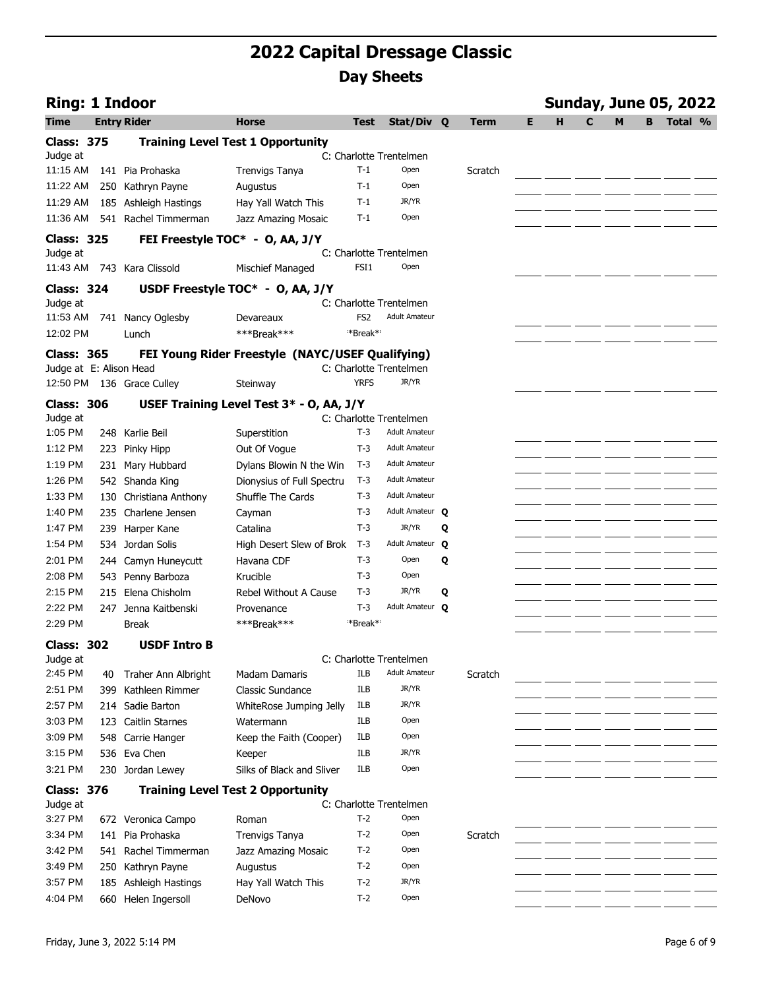| <b>Ring: 1 Indoor</b>         |     |                                     |                                                         |                 |                                              |   |             |    |   |   |   |   | <b>Sunday, June 05, 2022</b> |  |
|-------------------------------|-----|-------------------------------------|---------------------------------------------------------|-----------------|----------------------------------------------|---|-------------|----|---|---|---|---|------------------------------|--|
| <b>Time</b>                   |     | <b>Entry Rider</b>                  | <b>Horse</b>                                            | <b>Test</b>     | Stat/Div                                     | Q | <b>Term</b> | E. | н | C | M | B | Total %                      |  |
| <b>Class: 375</b>             |     |                                     | <b>Training Level Test 1 Opportunity</b>                |                 |                                              |   |             |    |   |   |   |   |                              |  |
| Judge at                      |     |                                     |                                                         |                 | C: Charlotte Trentelmen                      |   |             |    |   |   |   |   |                              |  |
| 11:15 AM                      |     | 141 Pia Prohaska                    | <b>Trenvigs Tanya</b>                                   | $T-1$           | Open                                         |   | Scratch     |    |   |   |   |   |                              |  |
| 11:22 AM                      |     | 250 Kathryn Payne                   | Augustus                                                | $T-1$           | Open                                         |   |             |    |   |   |   |   |                              |  |
| 11:29 AM                      |     | 185 Ashleigh Hastings               | Hay Yall Watch This                                     | $T-1$           | JR/YR                                        |   |             |    |   |   |   |   |                              |  |
| 11:36 AM                      |     | 541 Rachel Timmerman                | Jazz Amazing Mosaic                                     | $T-1$           | Open                                         |   |             |    |   |   |   |   |                              |  |
| <b>Class: 325</b>             |     |                                     | FEI Freestyle TOC* - O, AA, J/Y                         |                 |                                              |   |             |    |   |   |   |   |                              |  |
| Judge at                      |     |                                     |                                                         |                 | C: Charlotte Trentelmen                      |   |             |    |   |   |   |   |                              |  |
| 11:43 AM                      |     | 743 Kara Clissold                   | <b>Mischief Managed</b>                                 | FSI1            | Open                                         |   |             |    |   |   |   |   |                              |  |
| <b>Class: 324</b>             |     |                                     | USDF Freestyle TOC* - O, AA, J/Y                        |                 |                                              |   |             |    |   |   |   |   |                              |  |
| Judge at                      |     |                                     |                                                         |                 | C: Charlotte Trentelmen                      |   |             |    |   |   |   |   |                              |  |
| 11:53 AM                      |     | 741 Nancy Oglesby                   | Devareaux                                               | FS <sub>2</sub> | <b>Adult Amateur</b>                         |   |             |    |   |   |   |   |                              |  |
| 12:02 PM                      |     | Lunch                               | ***Break***                                             | **Break**       |                                              |   |             |    |   |   |   |   |                              |  |
| <b>Class: 365</b>             |     |                                     | <b>FEI Young Rider Freestyle (NAYC/USEF Qualifying)</b> |                 |                                              |   |             |    |   |   |   |   |                              |  |
| Judge at E: Alison Head       |     |                                     |                                                         |                 | C: Charlotte Trentelmen                      |   |             |    |   |   |   |   |                              |  |
|                               |     | 12:50 PM 136 Grace Culley           | Steinway                                                | <b>YRFS</b>     | JR/YR                                        |   |             |    |   |   |   |   |                              |  |
| <b>Class: 306</b>             |     |                                     | USEF Training Level Test 3* - O, AA, J/Y                |                 |                                              |   |             |    |   |   |   |   |                              |  |
| Judge at                      |     |                                     |                                                         |                 | C: Charlotte Trentelmen                      |   |             |    |   |   |   |   |                              |  |
| 1:05 PM                       |     | 248 Karlie Beil                     | Superstition                                            | $T-3$           | <b>Adult Amateur</b>                         |   |             |    |   |   |   |   |                              |  |
| 1:12 PM                       | 223 | Pinky Hipp                          | Out Of Vogue                                            | $T-3$           | <b>Adult Amateur</b>                         |   |             |    |   |   |   |   |                              |  |
| 1:19 PM                       | 231 | Mary Hubbard                        | Dylans Blowin N the Win                                 | T-3             | <b>Adult Amateur</b>                         |   |             |    |   |   |   |   |                              |  |
| 1:26 PM                       |     | 542 Shanda King                     | Dionysius of Full Spectru                               | T-3             | <b>Adult Amateur</b><br><b>Adult Amateur</b> |   |             |    |   |   |   |   |                              |  |
| 1:33 PM                       | 130 | Christiana Anthony                  | Shuffle The Cards                                       | $T-3$           | Adult Amateur O                              |   |             |    |   |   |   |   |                              |  |
| 1:40 PM                       |     | 235 Charlene Jensen                 | Cayman                                                  | $T-3$<br>$T-3$  |                                              |   |             |    |   |   |   |   |                              |  |
| 1:47 PM                       | 239 | Harper Kane                         | Catalina                                                |                 | JR/YR<br>Adult Amateur <b>Q</b>              | Q |             |    |   |   |   |   |                              |  |
| 1:54 PM                       |     | 534 Jordan Solis                    | High Desert Slew of Brok                                | $T-3$<br>$T-3$  | Open                                         |   |             |    |   |   |   |   |                              |  |
| 2:01 PM<br>2:08 PM            | 244 | Camyn Huneycutt                     | Havana CDF<br>Krucible                                  | T-3             | Open                                         | Q |             |    |   |   |   |   |                              |  |
| 2:15 PM                       | 543 | Penny Barboza<br>215 Elena Chisholm | Rebel Without A Cause                                   | $T-3$           | JR/YR                                        | Q |             |    |   |   |   |   |                              |  |
| 2:22 PM                       |     | 247 Jenna Kaitbenski                | Provenance                                              | T-3             | Adult Amateur <b>Q</b>                       |   |             |    |   |   |   |   |                              |  |
| 2:29 PM                       |     | <b>Break</b>                        | ***Break***                                             | **Break**       |                                              |   |             |    |   |   |   |   |                              |  |
|                               |     |                                     |                                                         |                 |                                              |   |             |    |   |   |   |   |                              |  |
| <b>Class: 302</b><br>Judge at |     | <b>USDF Intro B</b>                 |                                                         |                 | C: Charlotte Trentelmen                      |   |             |    |   |   |   |   |                              |  |
| 2:45 PM                       | 40  | Traher Ann Albright                 | <b>Madam Damaris</b>                                    | <b>ILB</b>      | <b>Adult Amateur</b>                         |   | Scratch     |    |   |   |   |   |                              |  |
| 2:51 PM                       | 399 | Kathleen Rimmer                     | Classic Sundance                                        | <b>ILB</b>      | JR/YR                                        |   |             |    |   |   |   |   |                              |  |
| 2:57 PM                       |     | 214 Sadie Barton                    | WhiteRose Jumping Jelly                                 | ILB             | JR/YR                                        |   |             |    |   |   |   |   |                              |  |
| 3:03 PM                       | 123 | Caitlin Starnes                     | Watermann                                               | ILB             | Open                                         |   |             |    |   |   |   |   |                              |  |
| 3:09 PM                       |     | 548 Carrie Hanger                   | Keep the Faith (Cooper)                                 | ILB             | Open                                         |   |             |    |   |   |   |   |                              |  |
| 3:15 PM                       |     | 536 Eva Chen                        | Keeper                                                  | ILB             | JR/YR                                        |   |             |    |   |   |   |   |                              |  |
| 3:21 PM                       |     | 230 Jordan Lewey                    | Silks of Black and Sliver                               | ILB             | Open                                         |   |             |    |   |   |   |   |                              |  |
| <b>Class: 376</b>             |     |                                     | <b>Training Level Test 2 Opportunity</b>                |                 |                                              |   |             |    |   |   |   |   |                              |  |
| Judge at                      |     |                                     |                                                         |                 | C: Charlotte Trentelmen                      |   |             |    |   |   |   |   |                              |  |
| 3:27 PM                       |     | 672 Veronica Campo                  | Roman                                                   | $T-2$           | Open                                         |   |             |    |   |   |   |   |                              |  |
| 3:34 PM                       | 141 | Pia Prohaska                        | Trenvigs Tanya                                          | $T-2$           | Open                                         |   | Scratch     |    |   |   |   |   |                              |  |
| 3:42 PM                       |     | 541 Rachel Timmerman                | Jazz Amazing Mosaic                                     | $T-2$           | Open                                         |   |             |    |   |   |   |   |                              |  |
| 3:49 PM                       | 250 | Kathryn Payne                       | Augustus                                                | T-2             | Open                                         |   |             |    |   |   |   |   |                              |  |
| 3:57 PM                       |     | 185 Ashleigh Hastings               | Hay Yall Watch This                                     | $T-2$           | JR/YR                                        |   |             |    |   |   |   |   |                              |  |
| 4:04 PM                       |     | 660 Helen Ingersoll                 | DeNovo                                                  | $T-2$           | Open                                         |   |             |    |   |   |   |   |                              |  |
|                               |     |                                     |                                                         |                 |                                              |   |             |    |   |   |   |   |                              |  |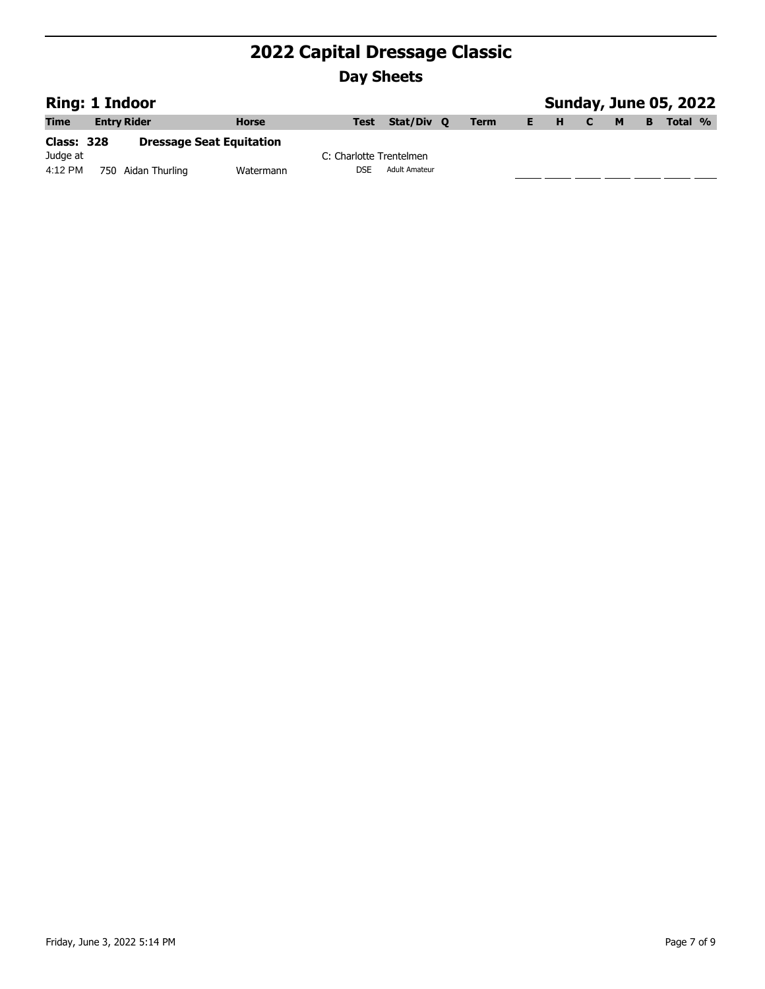| <b>Ring: 1 Indoor</b> |                    |                                 |                         |               |  |             | <b>Sunday, June 05, 2022</b> |          |   |   |         |  |
|-----------------------|--------------------|---------------------------------|-------------------------|---------------|--|-------------|------------------------------|----------|---|---|---------|--|
| <b>Time</b>           | <b>Entry Rider</b> | <b>Horse</b>                    | <b>Test</b>             | Stat/Div 0    |  | <b>Term</b> | E.                           | <b>H</b> | M | B | Total % |  |
| <b>Class: 328</b>     |                    | <b>Dressage Seat Equitation</b> |                         |               |  |             |                              |          |   |   |         |  |
| Judge at              |                    |                                 | C: Charlotte Trentelmen |               |  |             |                              |          |   |   |         |  |
| 4:12 PM               | 750 Aidan Thurling | Watermann                       | DSE                     | Adult Amateur |  |             |                              |          |   |   |         |  |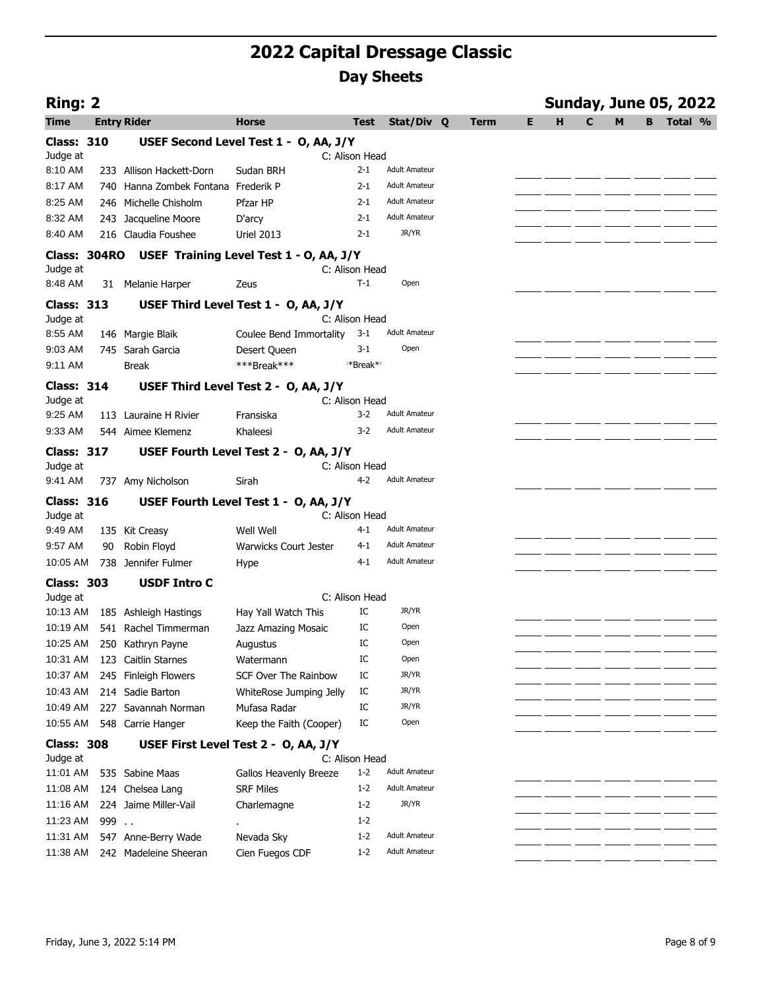| <b>Ring: 2</b>                |      |                                 |                                         |                           |                      |             |   |   |   |   |   | <b>Sunday, June 05, 2022</b> |  |
|-------------------------------|------|---------------------------------|-----------------------------------------|---------------------------|----------------------|-------------|---|---|---|---|---|------------------------------|--|
| Time                          |      | <b>Entry Rider</b>              | <b>Horse</b>                            | <b>Test</b>               | Stat/Div Q           | <b>Term</b> | E | н | C | M | В | Total %                      |  |
| <b>Class: 310</b><br>Judge at |      |                                 | USEF Second Level Test 1 - O, AA, J/Y   | C: Alison Head            |                      |             |   |   |   |   |   |                              |  |
| 8:10 AM                       |      | 233 Allison Hackett-Dorn        | Sudan BRH                               | $2 - 1$                   | <b>Adult Amateur</b> |             |   |   |   |   |   |                              |  |
| 8:17 AM                       | 740  | Hanna Zombek Fontana Frederik P |                                         | $2 - 1$                   | <b>Adult Amateur</b> |             |   |   |   |   |   |                              |  |
| 8:25 AM                       |      | 246 Michelle Chisholm           | Pfzar HP                                | $2 - 1$                   | <b>Adult Amateur</b> |             |   |   |   |   |   |                              |  |
| 8:32 AM                       |      | 243 Jacqueline Moore            | D'arcy                                  | $2 - 1$                   | <b>Adult Amateur</b> |             |   |   |   |   |   |                              |  |
| 8:40 AM                       |      | 216 Claudia Foushee             | <b>Uriel 2013</b>                       | $2 - 1$                   | JR/YR                |             |   |   |   |   |   |                              |  |
| Class: 304RO<br>Judge at      |      |                                 | USEF Training Level Test 1 - O, AA, J/Y | C: Alison Head            |                      |             |   |   |   |   |   |                              |  |
| 8:48 AM                       |      | 31 Melanie Harper               | Zeus                                    | $T-1$                     | Open                 |             |   |   |   |   |   |                              |  |
| <b>Class: 313</b><br>Judge at |      |                                 | USEF Third Level Test 1 - O, AA, J/Y    | C: Alison Head            |                      |             |   |   |   |   |   |                              |  |
| 8:55 AM                       |      | 146 Margie Blaik                | Coulee Bend Immortality                 | $3-1$                     | <b>Adult Amateur</b> |             |   |   |   |   |   |                              |  |
| 9:03 AM                       |      | 745 Sarah Garcia                | Desert Queen                            | $3 - 1$                   | Open                 |             |   |   |   |   |   |                              |  |
| 9:11 AM                       |      | <b>Break</b>                    | ***Break***                             | *Break*                   |                      |             |   |   |   |   |   |                              |  |
| <b>Class: 314</b>             |      |                                 | USEF Third Level Test 2 - O, AA, J/Y    |                           |                      |             |   |   |   |   |   |                              |  |
| Judge at<br>9:25 AM           |      | 113 Lauraine H Rivier           | Fransiska                               | C: Alison Head<br>$3 - 2$ | <b>Adult Amateur</b> |             |   |   |   |   |   |                              |  |
| 9:33 AM                       |      | 544 Aimee Klemenz               | Khaleesi                                | $3-2$                     | <b>Adult Amateur</b> |             |   |   |   |   |   |                              |  |
|                               |      |                                 |                                         |                           |                      |             |   |   |   |   |   |                              |  |
| <b>Class: 317</b>             |      |                                 | USEF Fourth Level Test 2 - O, AA, J/Y   | C: Alison Head            |                      |             |   |   |   |   |   |                              |  |
| Judge at<br>9:41 AM           |      | 737 Amy Nicholson               | Sirah                                   | $4 - 2$                   | <b>Adult Amateur</b> |             |   |   |   |   |   |                              |  |
|                               |      |                                 |                                         |                           |                      |             |   |   |   |   |   |                              |  |
| <b>Class: 316</b><br>Judge at |      |                                 | USEF Fourth Level Test 1 - O, AA, J/Y   | C: Alison Head            |                      |             |   |   |   |   |   |                              |  |
| 9:49 AM                       |      | 135 Kit Creasy                  | Well Well                               | $4 - 1$                   | <b>Adult Amateur</b> |             |   |   |   |   |   |                              |  |
| 9:57 AM                       | 90   | Robin Floyd                     | <b>Warwicks Court Jester</b>            | $4 - 1$                   | <b>Adult Amateur</b> |             |   |   |   |   |   |                              |  |
| 10:05 AM                      |      | 738 Jennifer Fulmer             | Hype                                    | 4-1                       | <b>Adult Amateur</b> |             |   |   |   |   |   |                              |  |
| <b>Class: 303</b>             |      | <b>USDF Intro C</b>             |                                         |                           |                      |             |   |   |   |   |   |                              |  |
| Judge at                      |      |                                 |                                         | C: Alison Head            |                      |             |   |   |   |   |   |                              |  |
| 10:13 AM                      |      | 185 Ashleigh Hastings           | Hay Yall Watch This                     | IC                        | JR/YR                |             |   |   |   |   |   |                              |  |
| 10:19 AM                      |      | 541 Rachel Timmerman            | Jazz Amazing Mosaic                     | IC                        | Open                 |             |   |   |   |   |   |                              |  |
| 10:25 AM                      |      | 250 Kathryn Payne               | Augustus                                | IC                        | Open                 |             |   |   |   |   |   |                              |  |
| 10:31 AM                      |      | 123 Caitlin Starnes             | Watermann                               | IC                        | Open                 |             |   |   |   |   |   |                              |  |
| 10:37 AM                      |      | 245 Finleigh Flowers            | SCF Over The Rainbow                    | IC                        | JR/YR                |             |   |   |   |   |   |                              |  |
| 10:43 AM                      |      | 214 Sadie Barton                | WhiteRose Jumping Jelly                 | IC                        | JR/YR                |             |   |   |   |   |   |                              |  |
| 10:49 AM                      |      | 227 Savannah Norman             | Mufasa Radar                            | IC                        | JR/YR                |             |   |   |   |   |   |                              |  |
| 10:55 AM                      |      | 548 Carrie Hanger               | Keep the Faith (Cooper)                 | IC                        | Open                 |             |   |   |   |   |   |                              |  |
| <b>Class: 308</b><br>Judge at |      |                                 | USEF First Level Test 2 - O, AA, J/Y    | C: Alison Head            |                      |             |   |   |   |   |   |                              |  |
| 11:01 AM                      |      | 535 Sabine Maas                 | Gallos Heavenly Breeze                  | $1 - 2$                   | <b>Adult Amateur</b> |             |   |   |   |   |   |                              |  |
| 11:08 AM                      |      | 124 Chelsea Lang                | <b>SRF Miles</b>                        | $1 - 2$                   | <b>Adult Amateur</b> |             |   |   |   |   |   |                              |  |
| 11:16 AM                      |      | 224 Jaime Miller-Vail           | Charlemagne                             | $1 - 2$                   | JR/YR                |             |   |   |   |   |   |                              |  |
| 11:23 AM                      | 999. |                                 |                                         | $1 - 2$                   |                      |             |   |   |   |   |   |                              |  |
| 11:31 AM                      |      | 547 Anne-Berry Wade             | Nevada Sky                              | $1 - 2$                   | <b>Adult Amateur</b> |             |   |   |   |   |   |                              |  |
| 11:38 AM                      |      | 242 Madeleine Sheeran           | Cien Fuegos CDF                         | $1 - 2$                   | <b>Adult Amateur</b> |             |   |   |   |   |   |                              |  |